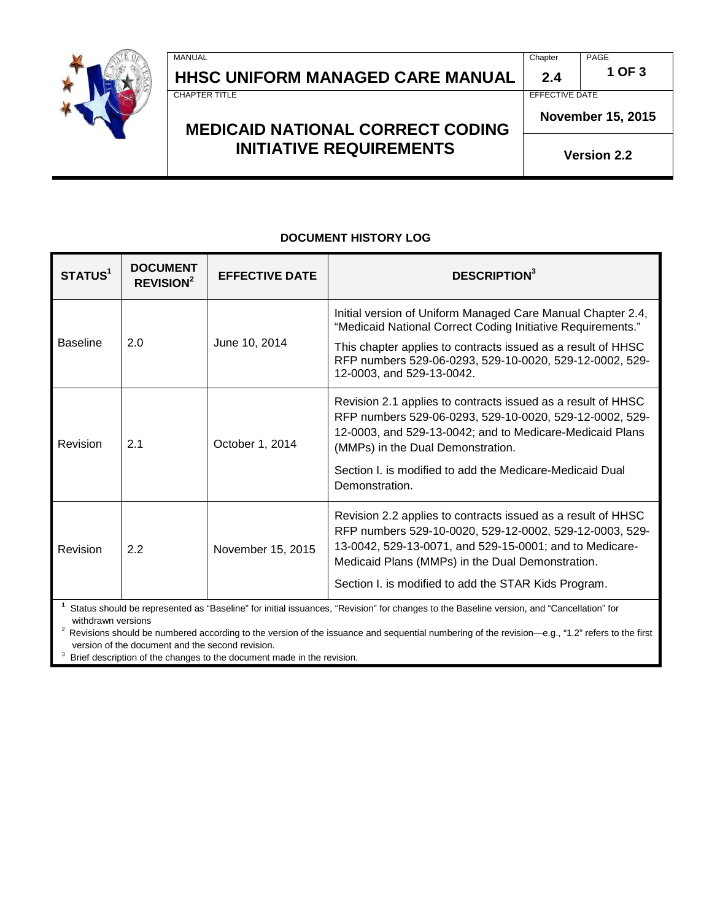

# **HHSC UNIFORM MANAGED CARE MANUAL 2.4 1 OF 3 CHAPTER TITLE**

MANUAL Chapter PAGE

EFFECTIVE DATE

**November 15, 2015**

**Version 2.2**

# **MEDICAID NATIONAL CORRECT CODING INITIATIVE REQUIREMENTS**

#### **DOCUMENT HISTORY LOG**

| STATUS <sup>1</sup>                                                                                                                      | <b>DOCUMENT</b><br><b>REVISION<sup>2</sup></b> | <b>EFFECTIVE DATE</b> | <b>DESCRIPTION</b> <sup>3</sup>                                                                                                                                                                                                                                                                |
|------------------------------------------------------------------------------------------------------------------------------------------|------------------------------------------------|-----------------------|------------------------------------------------------------------------------------------------------------------------------------------------------------------------------------------------------------------------------------------------------------------------------------------------|
| <b>Baseline</b>                                                                                                                          | 2.0                                            | June 10, 2014         | Initial version of Uniform Managed Care Manual Chapter 2.4,<br>"Medicaid National Correct Coding Initiative Requirements."                                                                                                                                                                     |
|                                                                                                                                          |                                                |                       | This chapter applies to contracts issued as a result of HHSC<br>RFP numbers 529-06-0293, 529-10-0020, 529-12-0002, 529-<br>12-0003, and 529-13-0042.                                                                                                                                           |
| Revision                                                                                                                                 | 2.1                                            | October 1, 2014       | Revision 2.1 applies to contracts issued as a result of HHSC<br>RFP numbers 529-06-0293, 529-10-0020, 529-12-0002, 529-<br>12-0003, and 529-13-0042; and to Medicare-Medicaid Plans<br>(MMPs) in the Dual Demonstration.                                                                       |
|                                                                                                                                          |                                                |                       | Section I. is modified to add the Medicare-Medicaid Dual<br>Demonstration.                                                                                                                                                                                                                     |
| Revision                                                                                                                                 | 2.2                                            | November 15, 2015     | Revision 2.2 applies to contracts issued as a result of HHSC<br>RFP numbers 529-10-0020, 529-12-0002, 529-12-0003, 529-<br>13-0042, 529-13-0071, and 529-15-0001; and to Medicare-<br>Medicaid Plans (MMPs) in the Dual Demonstration.<br>Section I. is modified to add the STAR Kids Program. |
| Status should be represented as "Baseline" for initial issuances, "Revision" for changes to the Baseline version, and "Cancellation" for |                                                |                       |                                                                                                                                                                                                                                                                                                |

withdrawn versions

<sup>2</sup> Revisions should be numbered according to the version of the issuance and sequential numbering of the revision—e.g., "1.2" refers to the first version of the document and the second revision.

3 Brief description of the changes to the document made in the revision.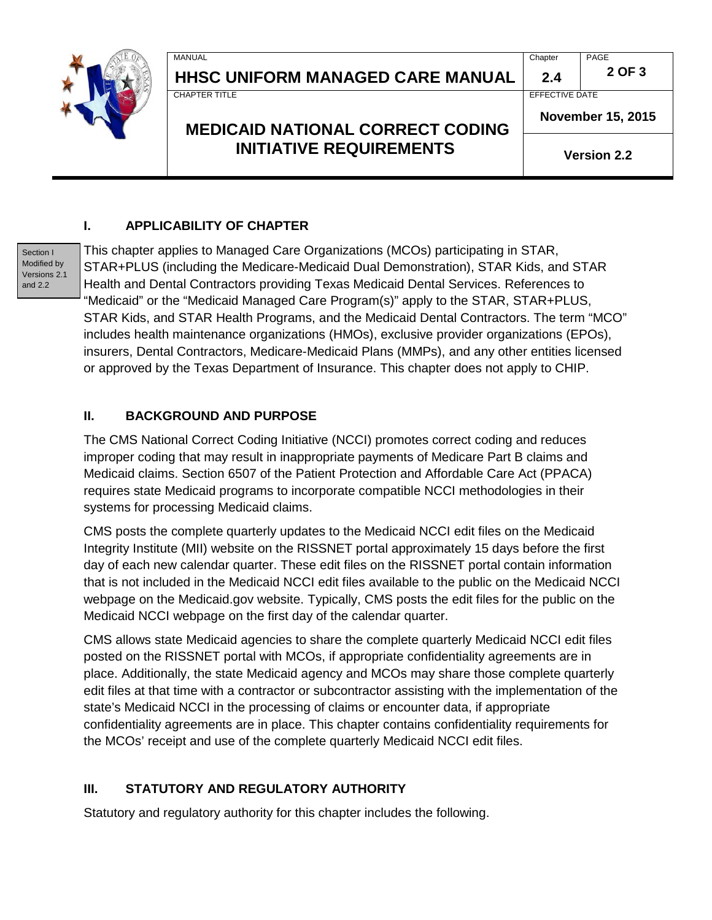

# **HHSC UNIFORM MANAGED CARE MANUAL 2.4 <sup>2</sup> OF 3**

**MEDICAID NATIONAL CORRECT CODING INITIATIVE REQUIREMENTS** 

MANUAL Chapter PAGE

CHAPTER TITLE **EFFECTIVE DATE** 

**November 15, 2015**

**Version 2.2**

#### **I. APPLICABILITY OF CHAPTER**

Section I Modified by Versions 2.1 and 2.2

This chapter applies to Managed Care Organizations (MCOs) participating in STAR, STAR+PLUS (including the Medicare-Medicaid Dual Demonstration), STAR Kids, and STAR Health and Dental Contractors providing Texas Medicaid Dental Services. References to "Medicaid" or the "Medicaid Managed Care Program(s)" apply to the STAR, STAR+PLUS, STAR Kids, and STAR Health Programs, and the Medicaid Dental Contractors. The term "MCO" includes health maintenance organizations (HMOs), exclusive provider organizations (EPOs), insurers, Dental Contractors, Medicare-Medicaid Plans (MMPs), and any other entities licensed or approved by the Texas Department of Insurance. This chapter does not apply to CHIP.

## **II. BACKGROUND AND PURPOSE**

The CMS National Correct Coding Initiative (NCCI) promotes correct coding and reduces improper coding that may result in inappropriate payments of Medicare Part B claims and Medicaid claims. Section 6507 of the Patient Protection and Affordable Care Act (PPACA) requires state Medicaid programs to incorporate compatible NCCI methodologies in their systems for processing Medicaid claims.

CMS posts the complete quarterly updates to the Medicaid NCCI edit files on the Medicaid Integrity Institute (MII) website on the RISSNET portal approximately 15 days before the first day of each new calendar quarter. These edit files on the RISSNET portal contain information that is not included in the Medicaid NCCI edit files available to the public on the Medicaid NCCI webpage on the Medicaid.gov website. Typically, CMS posts the edit files for the public on the Medicaid NCCI webpage on the first day of the calendar quarter.

CMS allows state Medicaid agencies to share the complete quarterly Medicaid NCCI edit files posted on the RISSNET portal with MCOs, if appropriate confidentiality agreements are in place. Additionally, the state Medicaid agency and MCOs may share those complete quarterly edit files at that time with a contractor or subcontractor assisting with the implementation of the state's Medicaid NCCI in the processing of claims or encounter data, if appropriate confidentiality agreements are in place. This chapter contains confidentiality requirements for the MCOs' receipt and use of the complete quarterly Medicaid NCCI edit files.

## **III. STATUTORY AND REGULATORY AUTHORITY**

Statutory and regulatory authority for this chapter includes the following.